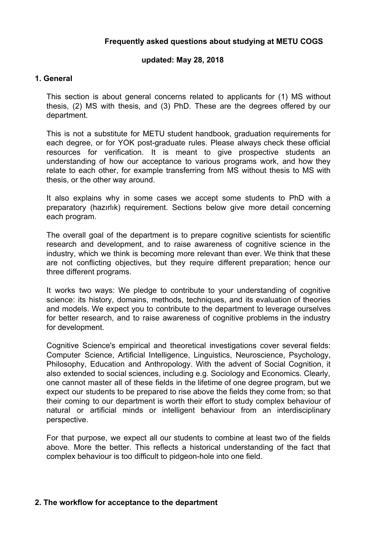# **Frequently asked questions about studying at METU COGS**

## **updated: May 28, 2018**

## **1. General**

This section is about general concerns related to applicants for (1) MS without thesis, (2) MS with thesis, and (3) PhD. These are the degrees offered by our department.

This is not a substitute for METU student handbook, graduation requirements for each degree, or for YOK post-graduate rules. Please always check these official resources for verification. It is meant to give prospective students an understanding of how our acceptance to various programs work, and how they relate to each other, for example transferring from MS without thesis to MS with thesis, or the other way around.

It also explains why in some cases we accept some students to PhD with a preparatory (hazırlık) requirement. Sections below give more detail concerning each program.

The overall goal of the department is to prepare cognitive scientists for scientific research and development, and to raise awareness of cognitive science in the industry, which we think is becoming more relevant than ever. We think that these are not conflicting objectives, but they require different preparation; hence our three different programs.

It works two ways: We pledge to contribute to your understanding of cognitive science: its history, domains, methods, techniques, and its evaluation of theories and models. We expect you to contribute to the department to leverage ourselves for better research, and to raise awareness of cognitive problems in the industry for development.

Cognitive Science's empirical and theoretical investigations cover several fields: Computer Science, Artificial Intelligence, Linguistics, Neuroscience, Psychology, Philosophy, Education and Anthropology. With the advent of Social Cognition, it also extended to social sciences, including e.g. Sociology and Economics. Clearly, one cannot master all of these fields in the lifetime of one degree program, but we expect our students to be prepared to rise above the fields they come from; so that their coming to our department is worth their effort to study complex behaviour of natural or artificial minds or intelligent behaviour from an interdisciplinary perspective.

For that purpose, we expect all our students to combine at least two of the fields above. More the better. This reflects a historical understanding of the fact that complex behaviour is too difficult to pidgeon-hole into one field.

### **2. The workflow for acceptance to the department**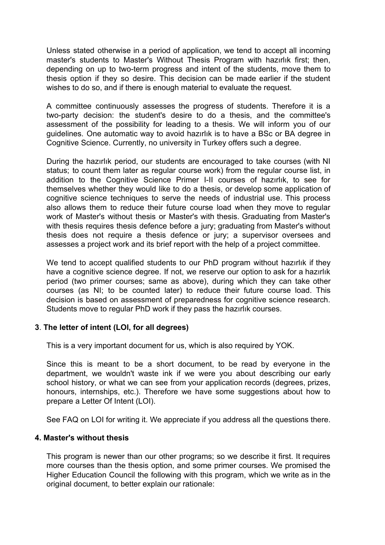Unless stated otherwise in a period of application, we tend to accept all incoming master's students to Master's Without Thesis Program with hazırlık first; then, depending on up to two-term progress and intent of the students, move them to thesis option if they so desire. This decision can be made earlier if the student wishes to do so, and if there is enough material to evaluate the request.

A committee continuously assesses the progress of students. Therefore it is a two-party decision: the student's desire to do a thesis, and the committee's assessment of the possibility for leading to a thesis. We will inform you of our guidelines. One automatic way to avoid hazırlık is to have a BSc or BA degree in Cognitive Science. Currently, no university in Turkey offers such a degree.

During the hazırlık period, our students are encouraged to take courses (with NI status; to count them later as regular course work) from the regular course list, in addition to the Cognitive Science Primer I-II courses of hazırlık, to see for themselves whether they would like to do a thesis, or develop some application of cognitive science techniques to serve the needs of industrial use. This process also allows them to reduce their future course load when they move to regular work of Master's without thesis or Master's with thesis. Graduating from Master's with thesis requires thesis defence before a jury; graduating from Master's without thesis does not require a thesis defence or jury; a supervisor oversees and assesses a project work and its brief report with the help of a project committee.

We tend to accept qualified students to our PhD program without hazirlik if they have a cognitive science degree. If not, we reserve our option to ask for a hazırlık period (two primer courses; same as above), during which they can take other courses (as NI; to be counted later) to reduce their future course load. This decision is based on assessment of preparedness for cognitive science research. Students move to regular PhD work if they pass the hazırlık courses.

# **3**. **The letter of intent (LOI, for all degrees)**

This is a very important document for us, which is also required by YOK.

Since this is meant to be a short document, to be read by everyone in the department, we wouldn't waste ink if we were you about describing our early school history, or what we can see from your application records (degrees, prizes, honours, internships, etc.). Therefore we have some suggestions about how to prepare a Letter Of Intent (LOI).

See FAQ on LOI for writing it. We appreciate if you address all the questions there.

### **4. Master's without thesis**

This program is newer than our other programs; so we describe it first. It requires more courses than the thesis option, and some primer courses. We promised the Higher Education Council the following with this program, which we write as in the original document, to better explain our rationale: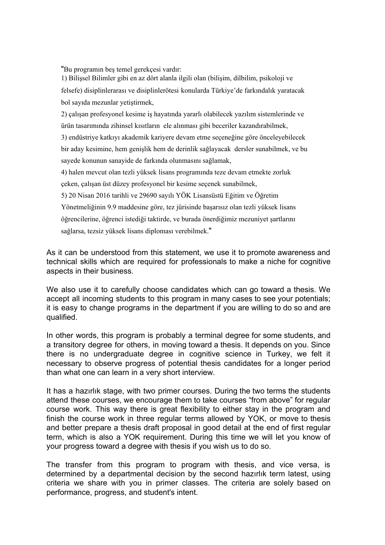"Bu programın beş temel gerekçesi vardır:

1) Bilişsel Bilimler gibi en az dört alanla ilgili olan (bilişim, dilbilim, psikoloji ve felsefe) disiplinlerarası ve disiplinlerötesi konularda Türkiye'de farkındalık yaratacak bol sayıda mezunlar yetiştirmek,

2) çalışan profesyonel kesime iş hayatında yararlı olabilecek yazılım sistemlerinde ve ürün tasarımında zihinsel kısıtların ele alınması gibi beceriler kazandırabilmek,

3) endüstriye katkıyı akademik kariyere devam etme seçeneğine göre önceleyebilecek bir aday kesimine, hem genişlik hem de derinlik sağlayacak dersler sunabilmek, ve bu sayede konunun sanayide de farkında olunmasını sağlamak,

4) halen mevcut olan tezli yüksek lisans programında teze devam etmekte zorluk çeken, çalışan üst düzey profesyonel bir kesime seçenek sunabilmek,

5) 20 Nisan 2016 tarihli ve 29690 sayılı YÖK Lisansüstü Eğitim ve Öğretim Yönetmeliğinin 9.9 maddesine göre, tez jürisinde başarısız olan tezli yüksek lisans öğrencilerine, öğrenci istediği taktirde, ve burada önerdiğimiz mezuniyet şartlarını sağlarsa, tezsiz yüksek lisans diploması verebilmek."

As it can be understood from this statement, we use it to promote awareness and technical skills which are required for professionals to make a niche for cognitive aspects in their business.

We also use it to carefully choose candidates which can go toward a thesis. We accept all incoming students to this program in many cases to see your potentials; it is easy to change programs in the department if you are willing to do so and are qualified.

In other words, this program is probably a terminal degree for some students, and a transitory degree for others, in moving toward a thesis. It depends on you. Since there is no undergraduate degree in cognitive science in Turkey, we felt it necessary to observe progress of potential thesis candidates for a longer period than what one can learn in a very short interview.

It has a hazırlık stage, with two primer courses. During the two terms the students attend these courses, we encourage them to take courses "from above" for regular course work. This way there is great flexibility to either stay in the program and finish the course work in three regular terms allowed by YOK, or move to thesis and better prepare a thesis draft proposal in good detail at the end of first regular term, which is also a YOK requirement. During this time we will let you know of your progress toward a degree with thesis if you wish us to do so.

The transfer from this program to program with thesis, and vice versa, is determined by a departmental decision by the second hazırlık term latest, using criteria we share with you in primer classes. The criteria are solely based on performance, progress, and student's intent.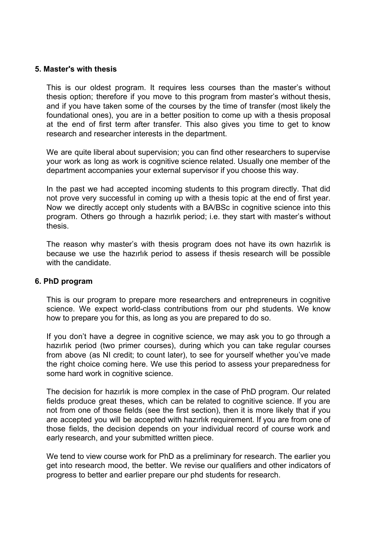## **5. Master's with thesis**

This is our oldest program. It requires less courses than the master's without thesis option; therefore if you move to this program from master's without thesis, and if you have taken some of the courses by the time of transfer (most likely the foundational ones), you are in a better position to come up with a thesis proposal at the end of first term after transfer. This also gives you time to get to know research and researcher interests in the department.

We are quite liberal about supervision; you can find other researchers to supervise your work as long as work is cognitive science related. Usually one member of the department accompanies your external supervisor if you choose this way.

In the past we had accepted incoming students to this program directly. That did not prove very successful in coming up with a thesis topic at the end of first year. Now we directly accept only students with a BA/BSc in cognitive science into this program. Others go through a hazırlık period; i.e. they start with master's without thesis.

The reason why master's with thesis program does not have its own hazırlık is because we use the hazırlık period to assess if thesis research will be possible with the candidate.

### **6. PhD program**

This is our program to prepare more researchers and entrepreneurs in cognitive science. We expect world-class contributions from our phd students. We know how to prepare you for this, as long as you are prepared to do so.

If you don't have a degree in cognitive science, we may ask you to go through a hazırlık period (two primer courses), during which you can take regular courses from above (as NI credit; to count later), to see for yourself whether you've made the right choice coming here. We use this period to assess your preparedness for some hard work in cognitive science.

The decision for hazırlık is more complex in the case of PhD program. Our related fields produce great theses, which can be related to cognitive science. If you are not from one of those fields (see the first section), then it is more likely that if you are accepted you will be accepted with hazırlık requirement. If you are from one of those fields, the decision depends on your individual record of course work and early research, and your submitted written piece.

We tend to view course work for PhD as a preliminary for research. The earlier you get into research mood, the better. We revise our qualifiers and other indicators of progress to better and earlier prepare our phd students for research.